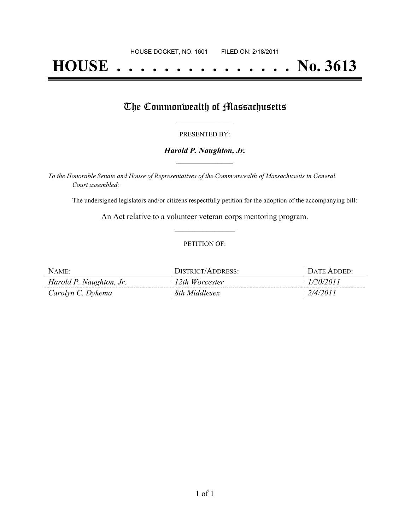# **HOUSE . . . . . . . . . . . . . . . No. 3613**

## The Commonwealth of Massachusetts

#### PRESENTED BY:

#### *Harold P. Naughton, Jr.* **\_\_\_\_\_\_\_\_\_\_\_\_\_\_\_\_\_**

*To the Honorable Senate and House of Representatives of the Commonwealth of Massachusetts in General Court assembled:*

The undersigned legislators and/or citizens respectfully petition for the adoption of the accompanying bill:

An Act relative to a volunteer veteran corps mentoring program. **\_\_\_\_\_\_\_\_\_\_\_\_\_\_\_**

#### PETITION OF:

| NAME:                   | DISTRICT/ADDRESS: | <b>I DATE ADDED:</b> |
|-------------------------|-------------------|----------------------|
| Harold P. Naughton, Jr. | 12th Worcester    | 1/20/2011            |
| Carolyn C. Dykema       | 8th Middlesex     | 2/4/2011             |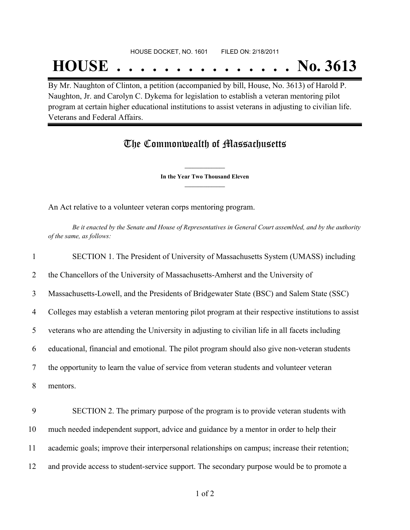### HOUSE DOCKET, NO. 1601 FILED ON: 2/18/2011

## **HOUSE . . . . . . . . . . . . . . . No. 3613**

By Mr. Naughton of Clinton, a petition (accompanied by bill, House, No. 3613) of Harold P. Naughton, Jr. and Carolyn C. Dykema for legislation to establish a veteran mentoring pilot program at certain higher educational institutions to assist veterans in adjusting to civilian life. Veterans and Federal Affairs.

### The Commonwealth of Massachusetts

**\_\_\_\_\_\_\_\_\_\_\_\_\_\_\_ In the Year Two Thousand Eleven \_\_\_\_\_\_\_\_\_\_\_\_\_\_\_**

An Act relative to a volunteer veteran corps mentoring program.

Be it enacted by the Senate and House of Representatives in General Court assembled, and by the authority *of the same, as follows:*

| $\mathbf{1}$ | SECTION 1. The President of University of Massachusetts System (UMASS) including                    |
|--------------|-----------------------------------------------------------------------------------------------------|
| 2            | the Chancellors of the University of Massachusetts-Amherst and the University of                    |
| 3            | Massachusetts-Lowell, and the Presidents of Bridgewater State (BSC) and Salem State (SSC)           |
| 4            | Colleges may establish a veteran mentoring pilot program at their respective institutions to assist |
| 5            | veterans who are attending the University in adjusting to civilian life in all facets including     |
| 6            | educational, financial and emotional. The pilot program should also give non-veteran students       |
| 7            | the opportunity to learn the value of service from veteran students and volunteer veteran           |
| 8            | mentors.                                                                                            |
| 9            | SECTION 2. The primary purpose of the program is to provide veteran students with                   |
| 10           | much needed independent support, advice and guidance by a mentor in order to help their             |
| 11           | academic goals; improve their interpersonal relationships on campus; increase their retention;      |
| 12           | and provide access to student-service support. The secondary purpose would be to promote a          |
|              |                                                                                                     |